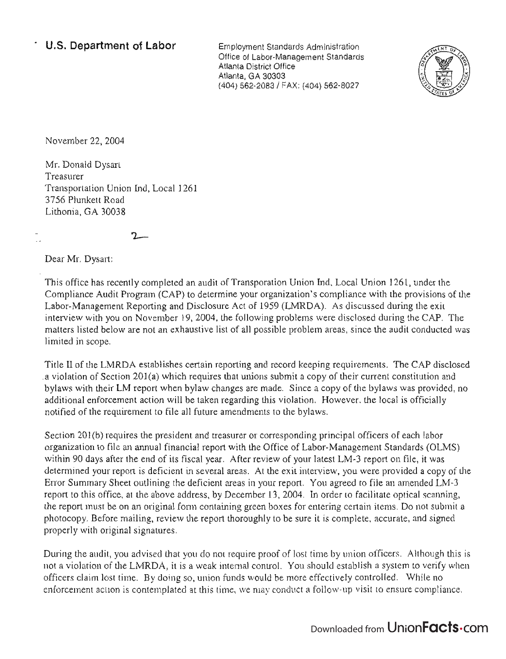Employment Standards Administration Office of Labor-Management Standards Atlanta District Office Atlanta, GA 30303 (404) 562-2083/ FAX: (404) 562-8027



November 22,2004

Mr. Donald Dysart Treasurer Transportation Union Ind, Local 1261 3756 Plunkett Road Lithonia, GA 30038

 $2-$ 

Dear Mr. Dysart:

This office has recently completed an audit of Transporation Union Ind, Local Union 1261, under the Compliance Audit Program (CAP) to determine your organization's compliance with the provisions of the Labor-Management Reporting and Disclosure Act of 1959 (LMRDA). As discussed during the exit interview with you on November 19,2004, the following problems were disclosed during the CAP. The matters listed below are not an exhaustive list of all possible problem areas, since the audit conducted was limited in scope.

Title II of the LMRDA establishes certain reporting and record keeping requirements. The CAP disclosed .a violation of Section 201(a) which requires that unions submit a copy of their current constitution and bylaws with their LM report when bylaw changes are made. Since a copy of the bylaws was provided, no additional enforcement action will be taken regarding this violation. However, the local is officially notified of the requirement to file all future amendments to the bylaws.

Section 201(b) requires the president and treasurer or corresponding principal officers of each labor organization to file an annual financial report with the Office of Labor-Management Standards (OLMS) within 90 days after the end of its fiscal year. After review of your latest LM-3 report on file, it was determined your report is deficient in several areas. At the exit interview, you were provided a copy of the Error Summary Sheet outlining the deficient areas in your report. You agreed to file an amended LM-3 report to this office, at the above address, by December 13, 2004. In order to facilitate optical scanning, the report must be on an original form containing green boxes for entering certain items. Do not submit a photocopy. Before mailing, review the report thoroughly to be sure it is complete, accurate, and signed properly with original signatures.

During the audit, you advised that you do not require proof of lost time by union officers. Although this is not a violation of the LMRDA, it is a weak internal control. You should establish a system to verify when officers claim lost time. By doing so, union funds would be more effectively controlled. While no enforcement action is contemplated at this time, we may conduct a follow-up visit to ensure compliance.

## Downloaded from UnionFacts.com